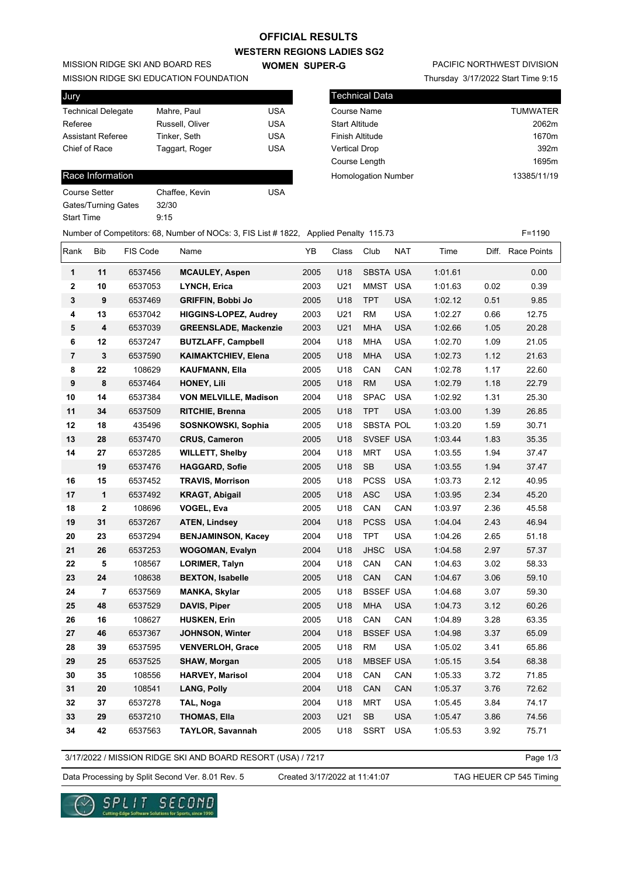## **WESTERN REGIONS LADIES SG2 OFFICIAL RESULTS**

**WOMEN SUPER-G** 

Technical Data

MISSION RIDGE SKI AND BOARD RES

MISSION RIDGE SKI EDUCATION FOUNDATION

| Jury                      |                 |            |
|---------------------------|-----------------|------------|
| <b>Technical Delegate</b> | Mahre, Paul     | USA        |
| Referee                   | Russell, Oliver | USA        |
| <b>Assistant Referee</b>  | Tinker, Seth    | <b>USA</b> |
| Chief of Race             | Taggart, Roger  | USA        |
|                           |                 |            |

## Race Information

Course Setter Chaffee, Kevin USA Gates/Turning Gates 32/30 Start Time 9:15

# PACIFIC NORTHWEST DIVISION

Thursday 3/17/2022 Start Time 9:15

| l llecnnical Data          |                 |
|----------------------------|-----------------|
| Course Name                | <b>TUMWATER</b> |
| <b>Start Altitude</b>      | 2062m           |
| Finish Altitude            | 1670m           |
| <b>Vertical Drop</b>       | 392m            |
| Course Length              | 1695m           |
| <b>Homologation Number</b> | 13385/11/19     |
|                            |                 |

| Number of Competitors: 68, Number of NOCs: 3, FIS List # 1822, Applied Penalty 115.73 | $F = 1190$ |
|---------------------------------------------------------------------------------------|------------|
|                                                                                       |            |

| Rank                    | <b>Bib</b> | FIS Code | Name                         | YB   | Class | Club             | <b>NAT</b> | Time    | Diff. | <b>Race Points</b> |
|-------------------------|------------|----------|------------------------------|------|-------|------------------|------------|---------|-------|--------------------|
| $\mathbf{1}$            | 11         | 6537456  | <b>MCAULEY, Aspen</b>        | 2005 | U18   | <b>SBSTA USA</b> |            | 1:01.61 |       | 0.00               |
| $\overline{\mathbf{2}}$ | 10         | 6537053  | <b>LYNCH, Erica</b>          | 2003 | U21   | MMST             | <b>USA</b> | 1:01.63 | 0.02  | 0.39               |
| 3                       | 9          | 6537469  | <b>GRIFFIN, Bobbi Jo</b>     | 2005 | U18   | <b>TPT</b>       | USA        | 1:02.12 | 0.51  | 9.85               |
| 4                       | 13         | 6537042  | <b>HIGGINS-LOPEZ, Audrey</b> | 2003 | U21   | <b>RM</b>        | <b>USA</b> | 1:02.27 | 0.66  | 12.75              |
| 5                       | 4          | 6537039  | <b>GREENSLADE, Mackenzie</b> | 2003 | U21   | <b>MHA</b>       | <b>USA</b> | 1:02.66 | 1.05  | 20.28              |
| 6                       | 12         | 6537247  | <b>BUTZLAFF, Campbell</b>    | 2004 | U18   | MHA              | <b>USA</b> | 1:02.70 | 1.09  | 21.05              |
| $\overline{7}$          | 3          | 6537590  | <b>KAIMAKTCHIEV, Elena</b>   | 2005 | U18   | <b>MHA</b>       | <b>USA</b> | 1:02.73 | 1.12  | 21.63              |
| 8                       | 22         | 108629   | <b>KAUFMANN, Ella</b>        | 2005 | U18   | CAN              | CAN        | 1:02.78 | 1.17  | 22.60              |
| $\boldsymbol{9}$        | 8          | 6537464  | HONEY, Lili                  | 2005 | U18   | <b>RM</b>        | <b>USA</b> | 1:02.79 | 1.18  | 22.79              |
| 10                      | 14         | 6537384  | <b>VON MELVILLE, Madison</b> | 2004 | U18   | <b>SPAC</b>      | <b>USA</b> | 1:02.92 | 1.31  | 25.30              |
| 11                      | 34         | 6537509  | <b>RITCHIE, Brenna</b>       | 2005 | U18   | <b>TPT</b>       | <b>USA</b> | 1:03.00 | 1.39  | 26.85              |
| 12                      | 18         | 435496   | <b>SOSNKOWSKI, Sophia</b>    | 2005 | U18   | <b>SBSTA POL</b> |            | 1:03.20 | 1.59  | 30.71              |
| 13                      | 28         | 6537470  | <b>CRUS, Cameron</b>         | 2005 | U18   | SVSEF USA        |            | 1:03.44 | 1.83  | 35.35              |
| 14                      | 27         | 6537285  | <b>WILLETT, Shelby</b>       | 2004 | U18   | <b>MRT</b>       | <b>USA</b> | 1:03.55 | 1.94  | 37.47              |
|                         | 19         | 6537476  | <b>HAGGARD, Sofie</b>        | 2005 | U18   | <b>SB</b>        | <b>USA</b> | 1:03.55 | 1.94  | 37.47              |
| 16                      | 15         | 6537452  | <b>TRAVIS, Morrison</b>      | 2005 | U18   | <b>PCSS</b>      | <b>USA</b> | 1:03.73 | 2.12  | 40.95              |
| 17                      | 1          | 6537492  | <b>KRAGT, Abigail</b>        | 2005 | U18   | <b>ASC</b>       | USA        | 1:03.95 | 2.34  | 45.20              |
| 18                      | 2          | 108696   | VOGEL, Eva                   | 2005 | U18   | CAN              | CAN        | 1:03.97 | 2.36  | 45.58              |
| 19                      | 31         | 6537267  | <b>ATEN, Lindsey</b>         | 2004 | U18   | <b>PCSS</b>      | <b>USA</b> | 1:04.04 | 2.43  | 46.94              |
| 20                      | 23         | 6537294  | <b>BENJAMINSON, Kacey</b>    | 2004 | U18   | <b>TPT</b>       | <b>USA</b> | 1:04.26 | 2.65  | 51.18              |
| 21                      | 26         | 6537253  | <b>WOGOMAN, Evalyn</b>       | 2004 | U18   | <b>JHSC</b>      | <b>USA</b> | 1:04.58 | 2.97  | 57.37              |
| 22                      | 5          | 108567   | <b>LORIMER, Talyn</b>        | 2004 | U18   | CAN              | CAN        | 1:04.63 | 3.02  | 58.33              |
| 23                      | 24         | 108638   | <b>BEXTON, Isabelle</b>      | 2005 | U18   | CAN              | CAN        | 1:04.67 | 3.06  | 59.10              |
| 24                      | 7          | 6537569  | <b>MANKA, Skylar</b>         | 2005 | U18   | <b>BSSEF USA</b> |            | 1:04.68 | 3.07  | 59.30              |
| 25                      | 48         | 6537529  | DAVIS, Piper                 | 2005 | U18   | <b>MHA</b>       | <b>USA</b> | 1:04.73 | 3.12  | 60.26              |
| 26                      | 16         | 108627   | <b>HUSKEN, Erin</b>          | 2005 | U18   | CAN              | CAN        | 1:04.89 | 3.28  | 63.35              |
| 27                      | 46         | 6537367  | <b>JOHNSON, Winter</b>       | 2004 | U18   | <b>BSSEF USA</b> |            | 1:04.98 | 3.37  | 65.09              |
| 28                      | 39         | 6537595  | <b>VENVERLOH, Grace</b>      | 2005 | U18   | <b>RM</b>        | <b>USA</b> | 1:05.02 | 3.41  | 65.86              |
| 29                      | 25         | 6537525  | SHAW, Morgan                 | 2005 | U18   | <b>MBSEF USA</b> |            | 1:05.15 | 3.54  | 68.38              |
| 30                      | 35         | 108556   | <b>HARVEY, Marisol</b>       | 2004 | U18   | CAN              | CAN        | 1:05.33 | 3.72  | 71.85              |
| 31                      | 20         | 108541   | <b>LANG, Polly</b>           | 2004 | U18   | CAN              | CAN        | 1:05.37 | 3.76  | 72.62              |
| 32                      | 37         | 6537278  | TAL, Noga                    | 2004 | U18   | <b>MRT</b>       | <b>USA</b> | 1:05.45 | 3.84  | 74.17              |
| 33                      | 29         | 6537210  | <b>THOMAS, Ella</b>          | 2003 | U21   | <b>SB</b>        | <b>USA</b> | 1:05.47 | 3.86  | 74.56              |
| 34                      | 42         | 6537563  | <b>TAYLOR, Savannah</b>      | 2005 | U18   | SSRT             | <b>USA</b> | 1:05.53 | 3.92  | 75.71              |

3/17/2022 / MISSION RIDGE SKI AND BOARD RESORT (USA) / 7217

Page 1/3

Data Processing by Split Second Ver. 8.01 Rev. 5 Created 3/17/2022 at 11:41:07 TAG HEUER CP 545 Timing



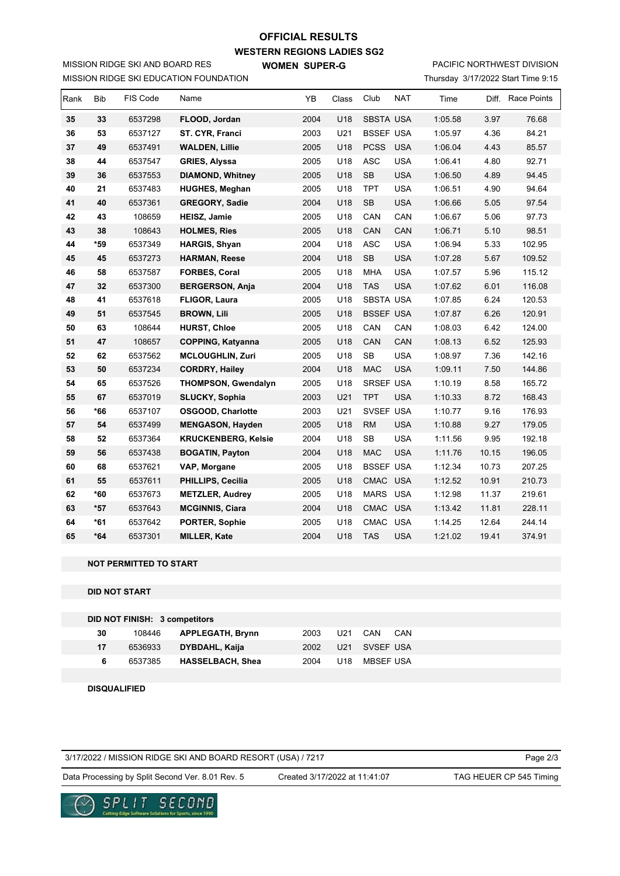# **WESTERN REGIONS LADIES SG2 WOMEN SUPER-G OFFICIAL RESULTS**

MISSION RIDGE SKI EDUCATION FOUNDATION MISSION RIDGE SKI AND BOARD RES

# PACIFIC NORTHWEST DIVISION

Thursday 3/17/2022 Start Time 9:15

| Rank | <b>Bib</b> | FIS Code | Name                       | YB   | Class | Club             | <b>NAT</b> | Time    |       | Diff. Race Points |
|------|------------|----------|----------------------------|------|-------|------------------|------------|---------|-------|-------------------|
| 35   | 33         | 6537298  | FLOOD, Jordan              | 2004 | U18   | <b>SBSTA USA</b> |            | 1:05.58 | 3.97  | 76.68             |
| 36   | 53         | 6537127  | ST. CYR. Franci            | 2003 | U21   | <b>BSSEF USA</b> |            | 1:05.97 | 4.36  | 84.21             |
| 37   | 49         | 6537491  | <b>WALDEN, Lillie</b>      | 2005 | U18   | <b>PCSS</b>      | <b>USA</b> | 1:06.04 | 4.43  | 85.57             |
| 38   | 44         | 6537547  | <b>GRIES, Alyssa</b>       | 2005 | U18   | <b>ASC</b>       | <b>USA</b> | 1:06.41 | 4.80  | 92.71             |
| 39   | 36         | 6537553  | <b>DIAMOND, Whitney</b>    | 2005 | U18   | <b>SB</b>        | <b>USA</b> | 1:06.50 | 4.89  | 94.45             |
| 40   | 21         | 6537483  | <b>HUGHES, Meghan</b>      | 2005 | U18   | <b>TPT</b>       | <b>USA</b> | 1:06.51 | 4.90  | 94.64             |
| 41   | 40         | 6537361  | <b>GREGORY, Sadie</b>      | 2004 | U18   | SB               | <b>USA</b> | 1:06.66 | 5.05  | 97.54             |
| 42   | 43         | 108659   | <b>HEISZ, Jamie</b>        | 2005 | U18   | CAN              | CAN        | 1:06.67 | 5.06  | 97.73             |
| 43   | 38         | 108643   | <b>HOLMES, Ries</b>        | 2005 | U18   | CAN              | CAN        | 1:06.71 | 5.10  | 98.51             |
| 44   | $*59$      | 6537349  | <b>HARGIS, Shyan</b>       | 2004 | U18   | ASC              | <b>USA</b> | 1:06.94 | 5.33  | 102.95            |
| 45   | 45         | 6537273  | <b>HARMAN, Reese</b>       | 2004 | U18   | SB               | <b>USA</b> | 1:07.28 | 5.67  | 109.52            |
| 46   | 58         | 6537587  | FORBES, Coral              | 2005 | U18   | <b>MHA</b>       | <b>USA</b> | 1:07.57 | 5.96  | 115.12            |
| 47   | 32         | 6537300  | <b>BERGERSON, Anja</b>     | 2004 | U18   | <b>TAS</b>       | <b>USA</b> | 1:07.62 | 6.01  | 116.08            |
| 48   | 41         | 6537618  | <b>FLIGOR, Laura</b>       | 2005 | U18   | <b>SBSTA USA</b> |            | 1:07.85 | 6.24  | 120.53            |
| 49   | 51         | 6537545  | <b>BROWN, Lili</b>         | 2005 | U18   | <b>BSSEF USA</b> |            | 1:07.87 | 6.26  | 120.91            |
| 50   | 63         | 108644   | <b>HURST, Chloe</b>        | 2005 | U18   | CAN              | CAN        | 1:08.03 | 6.42  | 124.00            |
| 51   | 47         | 108657   | <b>COPPING, Katyanna</b>   | 2005 | U18   | CAN              | CAN        | 1:08.13 | 6.52  | 125.93            |
| 52   | 62         | 6537562  | <b>MCLOUGHLIN, Zuri</b>    | 2005 | U18   | <b>SB</b>        | <b>USA</b> | 1:08.97 | 7.36  | 142.16            |
| 53   | 50         | 6537234  | <b>CORDRY, Hailey</b>      | 2004 | U18   | <b>MAC</b>       | <b>USA</b> | 1:09.11 | 7.50  | 144.86            |
| 54   | 65         | 6537526  | <b>THOMPSON, Gwendalyn</b> | 2005 | U18   | <b>SRSEF USA</b> |            | 1:10.19 | 8.58  | 165.72            |
| 55   | 67         | 6537019  | <b>SLUCKY, Sophia</b>      | 2003 | U21   | <b>TPT</b>       | <b>USA</b> | 1:10.33 | 8.72  | 168.43            |
| 56   | *66        | 6537107  | <b>OSGOOD, Charlotte</b>   | 2003 | U21   | SVSEF USA        |            | 1:10.77 | 9.16  | 176.93            |
| 57   | 54         | 6537499  | <b>MENGASON, Hayden</b>    | 2005 | U18   | <b>RM</b>        | <b>USA</b> | 1:10.88 | 9.27  | 179.05            |
| 58   | 52         | 6537364  | <b>KRUCKENBERG, Kelsie</b> | 2004 | U18   | <b>SB</b>        | <b>USA</b> | 1:11.56 | 9.95  | 192.18            |
| 59   | 56         | 6537438  | <b>BOGATIN, Payton</b>     | 2004 | U18   | <b>MAC</b>       | <b>USA</b> | 1:11.76 | 10.15 | 196.05            |
| 60   | 68         | 6537621  | VAP, Morgane               | 2005 | U18   | <b>BSSEF USA</b> |            | 1:12.34 | 10.73 | 207.25            |
| 61   | 55         | 6537611  | <b>PHILLIPS, Cecilia</b>   | 2005 | U18   | CMAC USA         |            | 1:12.52 | 10.91 | 210.73            |
| 62   | $*60$      | 6537673  | <b>METZLER, Audrey</b>     | 2005 | U18   | MARS USA         |            | 1:12.98 | 11.37 | 219.61            |
| 63   | $*57$      | 6537643  | <b>MCGINNIS, Ciara</b>     | 2004 | U18   | CMAC USA         |            | 1:13.42 | 11.81 | 228.11            |
| 64   | $*61$      | 6537642  | PORTER, Sophie             | 2005 | U18   | CMAC             | <b>USA</b> | 1:14.25 | 12.64 | 244.14            |
| 65   | $*64$      | 6537301  | <b>MILLER, Kate</b>        | 2004 | U18   | <b>TAS</b>       | <b>USA</b> | 1:21.02 | 19.41 | 374.91            |

#### **NOT PERMITTED TO START**

### **DID NOT START**

| DID NOT FINISH: 3 competitors |   |         |                         |      |                 |           |     |  |
|-------------------------------|---|---------|-------------------------|------|-----------------|-----------|-----|--|
| 30                            |   | 108446  | <b>APPLEGATH, Brynn</b> | 2003 | U21             | CAN       | CAN |  |
| 17                            |   | 6536933 | DYBDAHL, Kaija          | 2002 | U <sub>21</sub> | SVSEF USA |     |  |
|                               | 6 | 6537385 | <b>HASSELBACH, Shea</b> | 2004 | U18             | MBSEF USA |     |  |
|                               |   |         |                         |      |                 |           |     |  |

 **DISQUALIFIED**

3/17/2022 / MISSION RIDGE SKI AND BOARD RESORT (USA) / 7217

Page 2/3

Data Processing by Split Second Ver. 8.01 Rev. 5 Created 3/17/2022 at 11:41:07 TAG HEUER CP 545 Timing

Created 3/17/2022 at 11:41:07